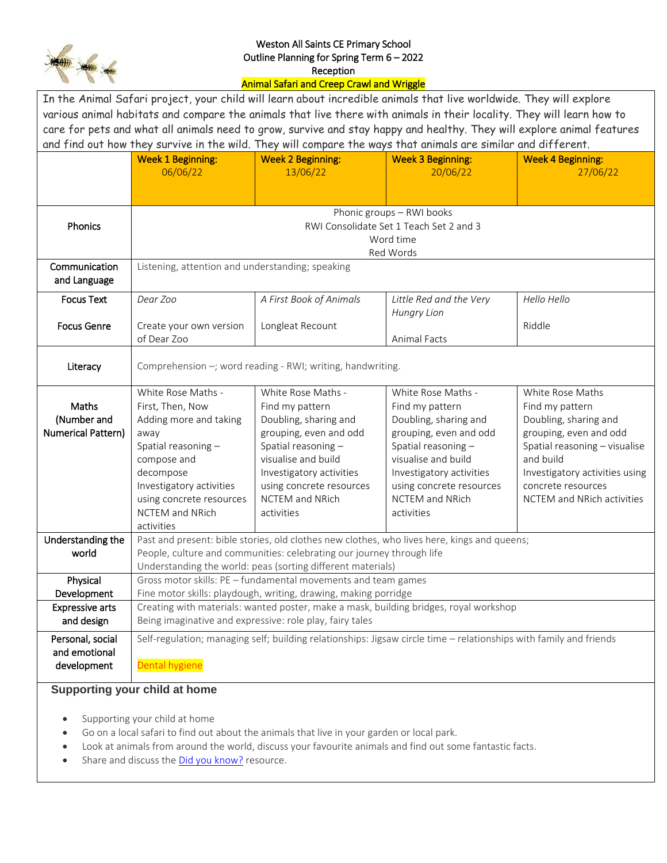

## Weston All Saints CE Primary School Outline Planning for Spring Term 6 – 2022 Reception

## Animal Safari and Creep Crawl and Wriggle

| In the Animal Safari project, your child will learn about incredible animals that live worldwide. They will explore    |                                                                                                                                      |                          |                          |                                |  |  |  |  |
|------------------------------------------------------------------------------------------------------------------------|--------------------------------------------------------------------------------------------------------------------------------------|--------------------------|--------------------------|--------------------------------|--|--|--|--|
| various animal habitats and compare the animals that live there with animals in their locality. They will learn how to |                                                                                                                                      |                          |                          |                                |  |  |  |  |
| care for pets and what all animals need to grow, survive and stay happy and healthy. They will explore animal features |                                                                                                                                      |                          |                          |                                |  |  |  |  |
| and find out how they survive in the wild. They will compare the ways that animals are similar and different.          |                                                                                                                                      |                          |                          |                                |  |  |  |  |
|                                                                                                                        | <b>Week 1 Beginning:</b>                                                                                                             | <b>Week 2 Beginning:</b> | <b>Week 3 Beginning:</b> | <b>Week 4 Beginning:</b>       |  |  |  |  |
|                                                                                                                        | 06/06/22                                                                                                                             | 13/06/22                 | 20/06/22                 | 27/06/22                       |  |  |  |  |
|                                                                                                                        |                                                                                                                                      |                          |                          |                                |  |  |  |  |
|                                                                                                                        |                                                                                                                                      |                          |                          |                                |  |  |  |  |
|                                                                                                                        | Phonic groups - RWI books                                                                                                            |                          |                          |                                |  |  |  |  |
| Phonics                                                                                                                | RWI Consolidate Set 1 Teach Set 2 and 3                                                                                              |                          |                          |                                |  |  |  |  |
|                                                                                                                        | Word time                                                                                                                            |                          |                          |                                |  |  |  |  |
|                                                                                                                        | Red Words                                                                                                                            |                          |                          |                                |  |  |  |  |
| Communication                                                                                                          | Listening, attention and understanding; speaking                                                                                     |                          |                          |                                |  |  |  |  |
| and Language                                                                                                           |                                                                                                                                      |                          |                          |                                |  |  |  |  |
| <b>Focus Text</b>                                                                                                      | Dear Zoo                                                                                                                             | A First Book of Animals  | Little Red and the Very  | Hello Hello                    |  |  |  |  |
|                                                                                                                        |                                                                                                                                      |                          | <b>Hungry Lion</b>       |                                |  |  |  |  |
| <b>Focus Genre</b>                                                                                                     | Create your own version                                                                                                              | Longleat Recount         |                          | Riddle                         |  |  |  |  |
|                                                                                                                        | of Dear Zoo                                                                                                                          |                          | Animal Facts             |                                |  |  |  |  |
| Literacy                                                                                                               |                                                                                                                                      |                          |                          |                                |  |  |  |  |
|                                                                                                                        | Comprehension -; word reading - RWI; writing, handwriting.                                                                           |                          |                          |                                |  |  |  |  |
|                                                                                                                        | White Rose Maths -                                                                                                                   | White Rose Maths -       | White Rose Maths -       | White Rose Maths               |  |  |  |  |
| Maths                                                                                                                  | First, Then, Now                                                                                                                     | Find my pattern          | Find my pattern          | Find my pattern                |  |  |  |  |
| (Number and                                                                                                            | Adding more and taking                                                                                                               | Doubling, sharing and    | Doubling, sharing and    | Doubling, sharing and          |  |  |  |  |
| Numerical Pattern)                                                                                                     | away                                                                                                                                 | grouping, even and odd   | grouping, even and odd   | grouping, even and odd         |  |  |  |  |
|                                                                                                                        | Spatial reasoning -                                                                                                                  | Spatial reasoning -      | Spatial reasoning -      | Spatial reasoning - visualise  |  |  |  |  |
|                                                                                                                        | compose and                                                                                                                          | visualise and build      | visualise and build      | and build                      |  |  |  |  |
|                                                                                                                        | decompose                                                                                                                            | Investigatory activities | Investigatory activities | Investigatory activities using |  |  |  |  |
|                                                                                                                        | Investigatory activities                                                                                                             | using concrete resources | using concrete resources | concrete resources             |  |  |  |  |
|                                                                                                                        | using concrete resources                                                                                                             | NCTEM and NRich          | <b>NCTEM</b> and NRich   | NCTEM and NRich activities     |  |  |  |  |
|                                                                                                                        | NCTEM and NRich                                                                                                                      | activities               | activities               |                                |  |  |  |  |
| Understanding the                                                                                                      | activities<br>Past and present: bible stories, old clothes new clothes, who lives here, kings and queens;                            |                          |                          |                                |  |  |  |  |
| world                                                                                                                  | People, culture and communities: celebrating our journey through life<br>Understanding the world: peas (sorting different materials) |                          |                          |                                |  |  |  |  |
|                                                                                                                        |                                                                                                                                      |                          |                          |                                |  |  |  |  |
| Physical                                                                                                               | Gross motor skills: PE - fundamental movements and team games                                                                        |                          |                          |                                |  |  |  |  |
| Development                                                                                                            | Fine motor skills: playdough, writing, drawing, making porridge                                                                      |                          |                          |                                |  |  |  |  |
| <b>Expressive arts</b>                                                                                                 | Creating with materials: wanted poster, make a mask, building bridges, royal workshop                                                |                          |                          |                                |  |  |  |  |
| and design                                                                                                             | Being imaginative and expressive: role play, fairy tales                                                                             |                          |                          |                                |  |  |  |  |
| Personal, social                                                                                                       | Self-regulation; managing self; building relationships: Jigsaw circle time - relationships with family and friends                   |                          |                          |                                |  |  |  |  |
| and emotional                                                                                                          |                                                                                                                                      |                          |                          |                                |  |  |  |  |
| development                                                                                                            | Dental hygiene                                                                                                                       |                          |                          |                                |  |  |  |  |
|                                                                                                                        |                                                                                                                                      |                          |                          |                                |  |  |  |  |

## **Supporting your child at home**

- Supporting your child at home
- Go on a local safari to find out about the animals that live in your garden or local park.
- Look at animals from around the world, discuss your favourite animals and find out some fantastic facts.
- Share and discuss the [Did you know?](https://maestro.cornerstoneseducation.co.uk/school/2166/download/2020-safari_gen_did_you_know?token=eyJ0eXAiOiJKV1QiLCJhbGciOiJIUzI1NiJ9.eyJpc3MiOiJodHRwczpcL1wvbWFlc3Ryby5jb3JuZXJzdG9uZXNlZHVjYXRpb24uY28udWtcL2FwaVwvYXV0aFwvbG9naW4iLCJpYXQiOjE2NTIzNTU4MjksImV4cCI6MTY2NzkwNzgyOSwibmJmIjoxNjUyMzU1ODI5LCJqdGkiOiJmUjFFZmhXbjZhTk42Nm9FIiwic3ViIjozMTMzOCwicHJ2IjoiODdlMGFmMWVmOWZkMTU4MTJmZGVjOTcxNTNhMTRlMGIwNDc1NDZhYSIsImtleSI6IlhrejNPcHM4QU9MYko5Z3ZEMng4eWN5cUdqMXZVV1hvakl5czBZTjZ5c0lodjFGOUJyIn0.yNcZNgLyJb9Ra7CvdG7jALdgL0fp1hmJgZ9RQCRYKbY) resource.